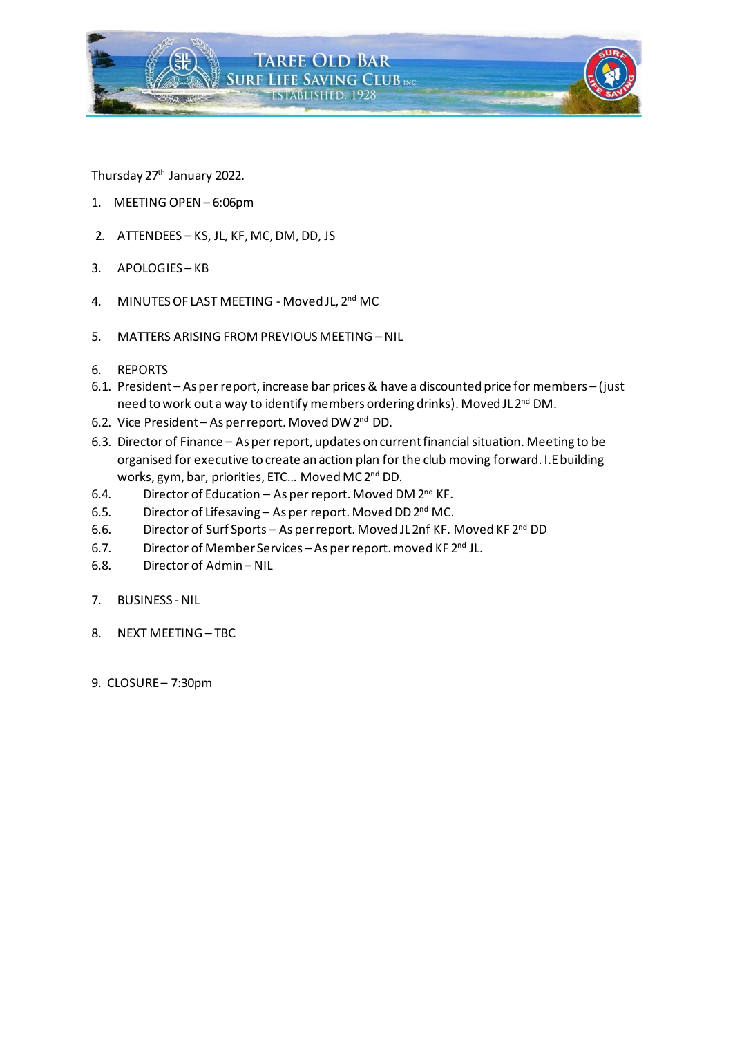

Thursday 27<sup>th</sup> January 2022.

- 1. MEETING OPEN– 6:06pm
- 2. ATTENDEES KS, JL, KF, MC, DM, DD, JS
- 3. APOLOGIES KB
- 4. MINUTES OF LAST MEETING Moved JL, 2<sup>nd</sup> MC
- 5. MATTERS ARISING FROM PREVIOUS MEETING NIL
- 6. REPORTS
- 6.1. President As per report, increase bar prices& have a discounted price for members (just need to work out a way to identify members ordering drinks). Moved JL 2nd DM.
- 6.2. Vice President As per report. Moved DW 2<sup>nd</sup> DD.
- 6.3. Director of Finance As per report, updates on current financial situation. Meeting to be organised for executive to create an action plan for the club moving forward. I.Ebuilding works, gym, bar, priorities, ETC... Moved MC 2<sup>nd</sup> DD.
- 6.4. Director of Education As per report. Moved DM  $2^{nd}$  KF.
- 6.5. Director of Lifesaving As per report. Moved DD 2<sup>nd</sup> MC.
- 6.6. Director of Surf Sports As per report. Moved JL2nf KF. Moved KF 2nd DD
- 6.7. Director of Member Services As per report. moved KF 2<sup>nd</sup> JL.
- 6.8. Director of Admin NIL
- 7. BUSINESS NIL
- 8. NEXT MEETING TBC
- 9. CLOSURE– 7:30pm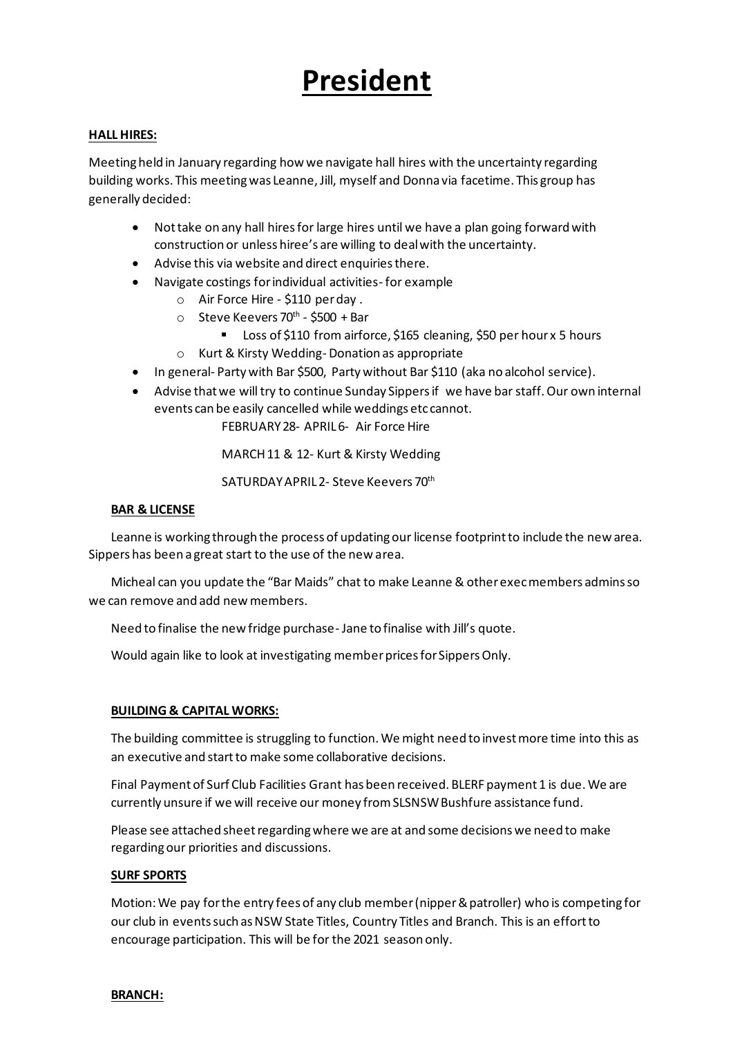## **President**

#### **HALL HIRES:**

Meeting held in January regarding how we navigate hall hires with the uncertainty regarding building works. This meeting was Leanne, Jill, myself and Donna via facetime. This group has generally decided:

- Not take on any hall hires for large hires until we have a plan going forward with construction or unless hiree's are willing to deal with the uncertainty.
- Advise this via website and direct enquiries there.
- Navigate costings for individual activities- for example
	- o Air Force Hire \$110 per day .
	- o Steve Keevers 70<sup>th</sup> \$500 + Bar
		- Loss of \$110 from airforce, \$165 cleaning, \$50 per hour x 5 hours
	- o Kurt & Kirsty Wedding- Donation as appropriate
- In general- Party with Bar \$500, Party without Bar \$110 (aka no alcohol service).
- Advise that we will try to continue Sunday Sippers if we have bar staff. Our own internal events can be easily cancelled while weddings etc cannot.

FEBRUARY 28- APRIL 6- Air Force Hire

MARCH 11 & 12- Kurt & Kirsty Wedding

SATURDAY APRIL 2- Steve Keevers 70th

#### **BAR & LICENSE**

Leanne is working through the process of updating our license footprint to include the new area. Sippers has been a great start to the use of the new area.

Micheal can you update the "Bar Maids" chat to make Leanne & other exec members admins so we can remove and add new members.

Need to finalise the new fridge purchase- Jane to finalise with Jill's quote.

Would again like to look at investigating member prices for Sippers Only.

#### **BUILDING & CAPITAL WORKS:**

The building committee is struggling to function. We might need to invest more time into this as an executive and start to make some collaborative decisions.

Final Payment of Surf Club Facilities Grant has been received. BLERF payment 1 is due. We are currently unsure if we will receive our money from SLSNSW Bushfure assistance fund.

Please see attached sheet regarding where we are at and some decisions we need to make regarding our priorities and discussions.

#### **SURF SPORTS**

Motion: We pay for the entry fees of any club member (nipper & patroller) who is competing for our club in events such as NSW State Titles, Country Titles and Branch. This is an effort to encourage participation. This will be for the 2021 season only.

#### **BRANCH:**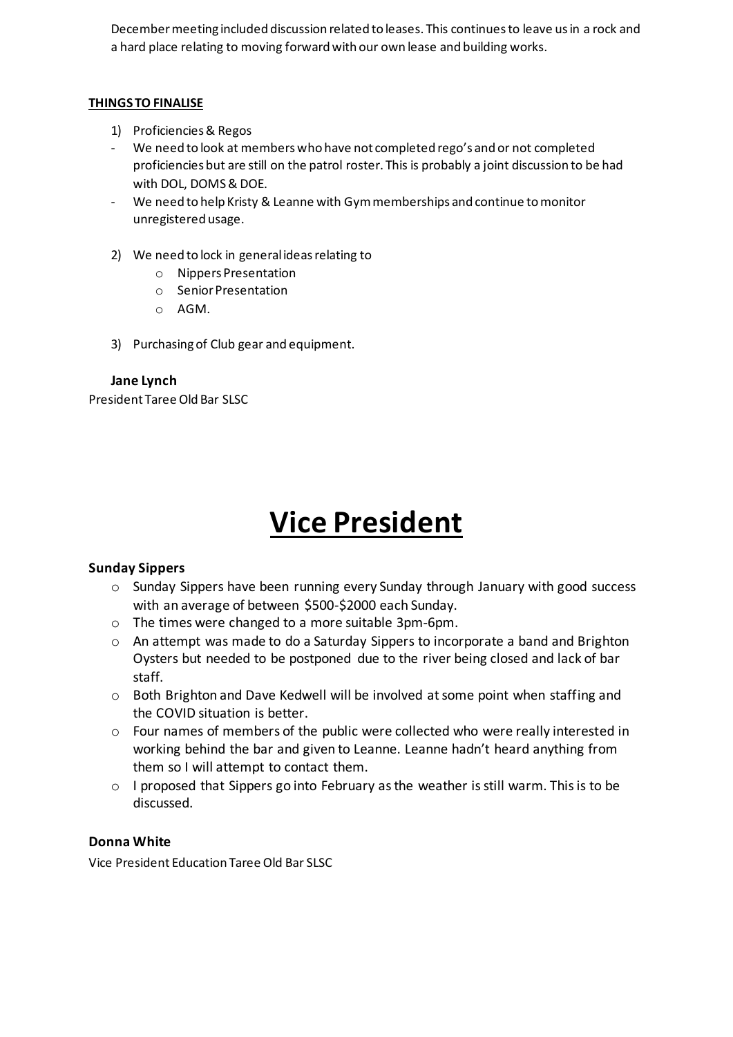December meeting included discussion related to leases. This continues to leave us in a rock and a hard place relating to moving forward with our own lease and building works.

#### **THINGS TO FINALISE**

- 1) Proficiencies & Regos
- We need to look at members who have not completed rego's and or not completed proficiencies but are still on the patrol roster. This is probably a joint discussion to be had with DOL, DOMS & DOE.
- We need to help Kristy & Leanne with Gym memberships and continue to monitor unregistered usage.
- 2) We need to lock in general ideas relating to
	- o Nippers Presentation
	- o Senior Presentation
	- o AGM.
- 3) Purchasing of Club gear and equipment.

#### **Jane Lynch**

President Taree Old Bar SLSC

## **Vice President**

## **Sunday Sippers**

- $\circ$  Sunday Sippers have been running every Sunday through January with good success with an average of between \$500-\$2000 each Sunday.
- o The times were changed to a more suitable 3pm-6pm.
- $\circ$  An attempt was made to do a Saturday Sippers to incorporate a band and Brighton Oysters but needed to be postponed due to the river being closed and lack of bar staff.
- $\circ$  Both Brighton and Dave Kedwell will be involved at some point when staffing and the COVID situation is better.
- o Four names of members of the public were collected who were really interested in working behind the bar and given to Leanne. Leanne hadn't heard anything from them so I will attempt to contact them.
- $\circ$  I proposed that Sippers go into February as the weather is still warm. This is to be discussed.

## **Donna White**

Vice President Education Taree Old Bar SLSC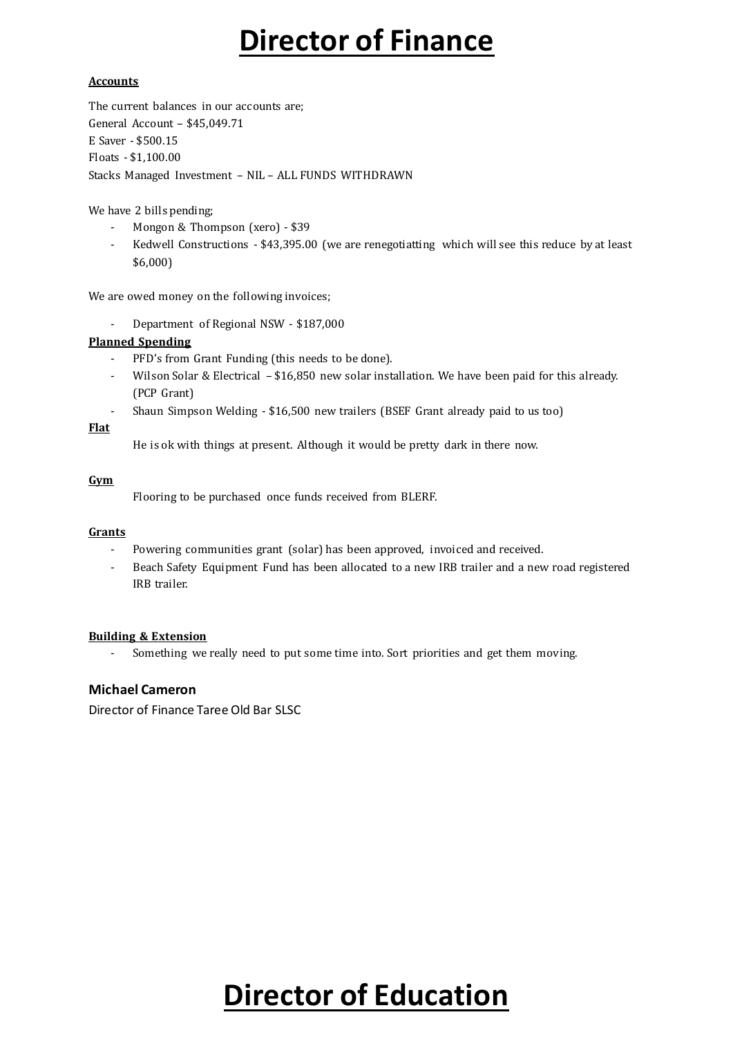## **Director of Finance**

#### **Accounts**

The current balances in our accounts are; General Account – \$45,049.71 E Saver - \$500.15 Floats - \$1,100.00 Stacks Managed Investment – NIL – ALL FUNDS WITHDRAWN

We have 2 bills pending;

- Mongon & Thompson (xero) \$39
- Kedwell Constructions \$43,395.00 (we are renegotiatting which will see this reduce by at least \$6,000)

We are owed money on the following invoices;

- Department of Regional NSW - \$187,000

#### **Planned Spending**

- PFD's from Grant Funding (this needs to be done).
- Wilson Solar & Electrical \$16,850 new solar installation. We have been paid for this already. (PCP Grant)
- Shaun Simpson Welding \$16,500 new trailers (BSEF Grant already paid to us too)

#### **Flat**

He is ok with things at present. Although it would be pretty dark in there now.

#### **Gym**

Flooring to be purchased once funds received from BLERF.

#### **Grants**

- Powering communities grant (solar) has been approved, invoiced and received.
- Beach Safety Equipment Fund has been allocated to a new IRB trailer and a new road registered IRB trailer.

#### **Building & Extension**

- Something we really need to put some time into. Sort priorities and get them moving.

#### **Michael Cameron**

Director of Finance Taree Old Bar SLSC

# **Director of Education**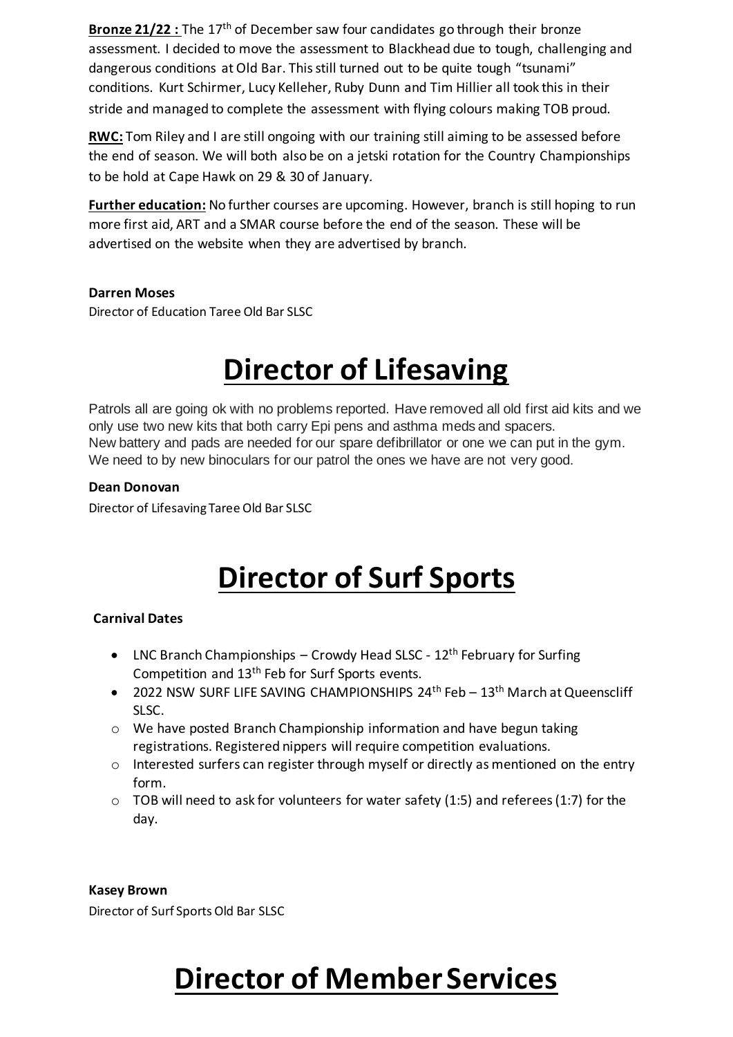**Bronze 21/22 :** The 17<sup>th</sup> of December saw four candidates go through their bronze assessment. I decided to move the assessment to Blackhead due to tough, challenging and dangerous conditions at Old Bar. This still turned out to be quite tough "tsunami" conditions. Kurt Schirmer, Lucy Kelleher, Ruby Dunn and Tim Hillier all took this in their stride and managed to complete the assessment with flying colours making TOB proud.

**RWC:** Tom Riley and I are still ongoing with our training still aiming to be assessed before the end of season. We will both also be on a jetski rotation for the Country Championships to be hold at Cape Hawk on 29 & 30 of January.

**Further education:** No further courses are upcoming. However, branch is still hoping to run more first aid, ART and a SMAR course before the end of the season. These will be advertised on the website when they are advertised by branch.

## **Darren Moses**

Director of Education Taree Old Bar SLSC

# **Director of Lifesaving**

Patrols all are going ok with no problems reported. Have removed all old first aid kits and we only use two new kits that both carry Epi pens and asthma meds and spacers. New battery and pads are needed for our spare defibrillator or one we can put in the gym. We need to by new binoculars for our patrol the ones we have are not very good.

## **Dean Donovan**

Director of Lifesaving Taree Old Bar SLSC

# **Director of Surf Sports**

## **Carnival Dates**

- LNC Branch Championships Crowdy Head SLSC  $12<sup>th</sup>$  February for Surfing Competition and 13th Feb for Surf Sports events.
- 2022 NSW SURF LIFE SAVING CHAMPIONSHIPS  $24<sup>th</sup>$  Feb  $-13<sup>th</sup>$  March at Queenscliff SLSC.
- $\circ$  We have posted Branch Championship information and have begun taking registrations. Registered nippers will require competition evaluations.
- o Interested surfers can register through myself or directly as mentioned on the entry form.
- $\circ$  TOB will need to ask for volunteers for water safety (1:5) and referees (1:7) for the day.

## **Kasey Brown**

Director of Surf Sports Old Bar SLSC

## **Director of Member Services**